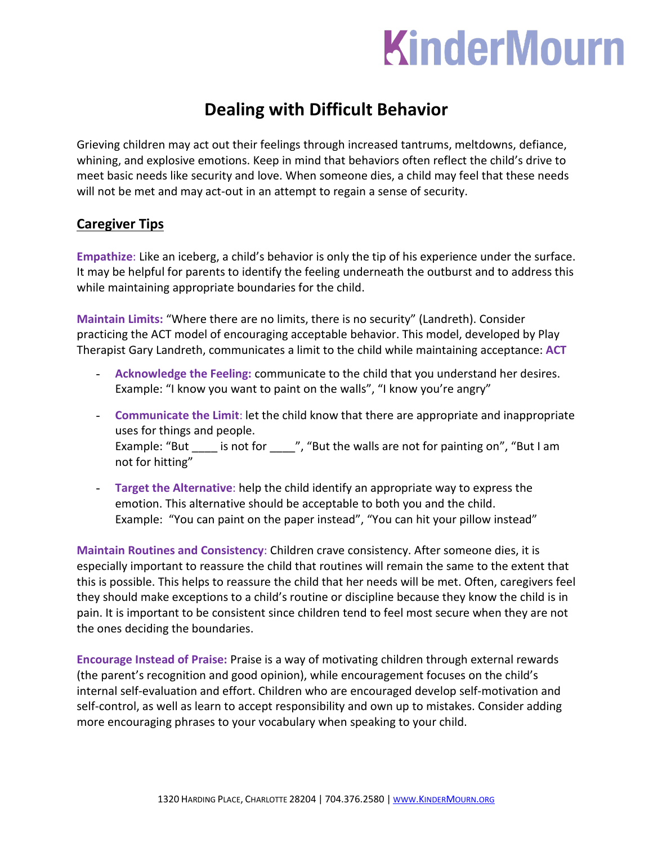# KinderMourn

# **Dealing with Difficult Behavior**

Grieving children may act out their feelings through increased tantrums, meltdowns, defiance, whining, and explosive emotions. Keep in mind that behaviors often reflect the child's drive to meet basic needs like security and love. When someone dies, a child may feel that these needs will not be met and may act-out in an attempt to regain a sense of security.

## **Caregiver Tips**

**Empathize**: Like an iceberg, a child's behavior is only the tip of his experience under the surface. It may be helpful for parents to identify the feeling underneath the outburst and to address this while maintaining appropriate boundaries for the child.

**Maintain Limits:** "Where there are no limits, there is no security" (Landreth). Consider practicing the ACT model of encouraging acceptable behavior. This model, developed by Play Therapist Gary Landreth, communicates a limit to the child while maintaining acceptance: **ACT**

- **Acknowledge the Feeling:** communicate to the child that you understand her desires. Example: "I know you want to paint on the walls", "I know you're angry"
- **Communicate the Limit**: let the child know that there are appropriate and inappropriate uses for things and people. Example: "But \_\_\_\_ is not for \_\_\_\_", "But the walls are not for painting on", "But I am not for hitting"
- **Target the Alternative**: help the child identify an appropriate way to express the emotion. This alternative should be acceptable to both you and the child. Example: "You can paint on the paper instead", "You can hit your pillow instead"

**Maintain Routines and Consistency**: Children crave consistency. After someone dies, it is especially important to reassure the child that routines will remain the same to the extent that this is possible. This helps to reassure the child that her needs will be met. Often, caregivers feel they should make exceptions to a child's routine or discipline because they know the child is in pain. It is important to be consistent since children tend to feel most secure when they are not the ones deciding the boundaries.

**Encourage Instead of Praise:** Praise is a way of motivating children through external rewards (the parent's recognition and good opinion), while encouragement focuses on the child's internal self-evaluation and effort. Children who are encouraged develop self-motivation and self-control, as well as learn to accept responsibility and own up to mistakes. Consider adding more encouraging phrases to your vocabulary when speaking to your child.